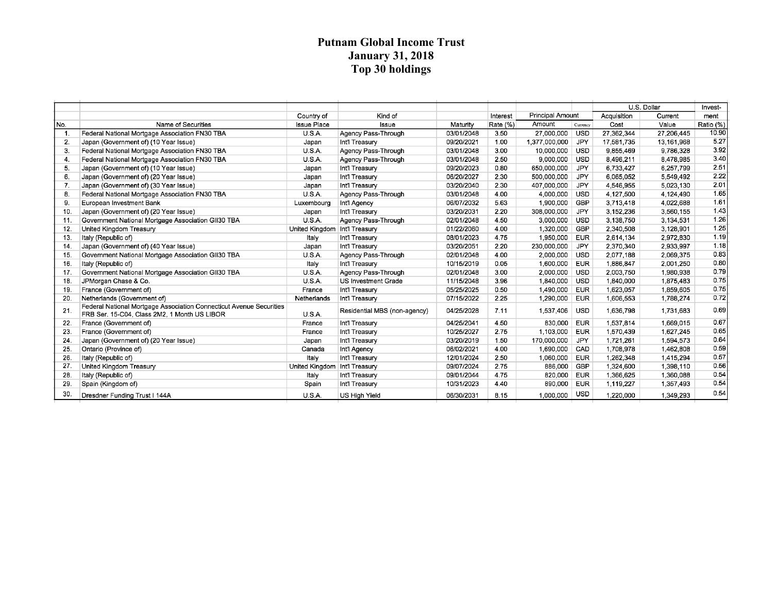## **Putnam Global Income Trust January 31, 2018 Top 30 holdings**

|     |                                                                                                                     |                               |                              |            |          |                         |            |             | U.S. Dollar | Invest-   |
|-----|---------------------------------------------------------------------------------------------------------------------|-------------------------------|------------------------------|------------|----------|-------------------------|------------|-------------|-------------|-----------|
|     |                                                                                                                     | Country of                    | Kind of                      |            | Interest | <b>Principal Amount</b> |            | Acquisition | Current     | ment      |
| No. | Name of Securities                                                                                                  | <b>Issue Place</b>            | Issue                        | Maturity   | Rate (%) | Amount                  | Currency   | Cost        | Value       | Ratio (%) |
| -1. | Federal National Mortgage Association FN30 TBA                                                                      | U.S.A.                        | Agency Pass-Through          | 03/01/2048 | 3.50     | 27,000,000              | <b>USD</b> | 27,362,344  | 27,206,445  | 10.90     |
| 2.  | Japan (Government of) (10 Year Issue)                                                                               | Japan                         | Int'l Treasury               | 09/20/2021 | 1.00     | 1,377,000,000           | JPY        | 17,581,735  | 13,161,968  | 5.27      |
| 3.  | Federal National Mortgage Association FN30 TBA                                                                      | U.S.A.                        | Agency Pass-Through          | 03/01/2048 | 3.00     | 10,000,000              | <b>USD</b> | 9,855,469   | 9,786,328   | 3.92      |
| 4.  | Federal National Mortgage Association FN30 TBA                                                                      | U.S.A.                        | Agency Pass-Through          | 03/01/2048 | 2.50     | 9,000,000               | <b>USD</b> | 8,496,211   | 8,478,985   | 3.40      |
| 5.  | Japan (Government of) (10 Year Issue)                                                                               | Japan                         | Int'l Treasury               | 09/20/2023 | 0.80     | 650,000,000             | <b>JPY</b> | 6,733,427   | 6,257,799   | 2.51      |
| 6.  | Japan (Government of) (20 Year Issue)                                                                               | Japan                         | Int'l Treasury               | 06/20/2027 | 2.30     | 500,000,000             | <b>JPY</b> | 6,065,052   | 5,549,492   | 2.22      |
| 7.  | Japan (Government of) (30 Year Issue)                                                                               | Japan                         | Int'l Treasury               | 03/20/2040 | 2.30     | 407,000,000             | <b>JPY</b> | 4,546,955   | 5,023,130   | 2.01      |
| 8.  | Federal National Mortgage Association FN30 TBA                                                                      | <b>U.S.A.</b>                 | Agency Pass-Through          | 03/01/2048 | 4.00     | 4.000.000               | USD        | 4,127,500   | 4.124.490   | 1.65      |
| 9.  | European Investment Bank                                                                                            | Luxembourg                    | Int'l Agency                 | 06/07/2032 | 5.63     | 1,900,000               | GBP        | 3,713,418   | 4.022.688   | 1.61      |
| 10. | Japan (Government of) (20 Year Issue)                                                                               | Japan                         | Int'l Treasury               | 03/20/2031 | 2.20     | 308,000,000             | <b>JPY</b> | 3,152,236   | 3,560,155   | 1.43      |
| 11. | Government National Mortgage Association GII30 TBA                                                                  | U.S.A.                        | Agency Pass-Through          | 02/01/2048 | 4.50     | 3,000,000               | <b>USD</b> | 3,138,750   | 3,134,531   | 1.26      |
| 12. | United Kingdom Treasury                                                                                             | United Kingdom Int'l Treasury |                              | 01/22/2060 | 4.00     | 1,320,000               | GBP        | 2,340,508   | 3,128,901   | 1.25      |
| 13. | Italy (Republic of)                                                                                                 | Italy                         | Int'l Treasury               | 08/01/2023 | 4.75     | 1,950,000               | <b>EUR</b> | 2,614,134   | 2,972,830   | 1.19      |
| 14. | Japan (Government of) (40 Year Issue)                                                                               | Japan                         | Int'l Treasury               | 03/20/2051 | 2.20     | 230,000,000             | <b>JPY</b> | 2,370,340   | 2,933,997   | 1.18      |
| 15. | Government National Mortgage Association GII30 TBA                                                                  | <b>U.S.A.</b>                 | Agency Pass-Through          | 02/01/2048 | 4.00     | 2,000,000               | <b>USD</b> | 2,077,188   | 2,069,375   | 0.83      |
| 16. | Italy (Republic of)                                                                                                 | Italy                         | Int'l Treasury               | 10/15/2019 | 0.05     | 1,600,000               | <b>EUR</b> | 1,886,847   | 2,001,250   | 0.80      |
| 17. | Government National Mortgage Association GII30 TBA                                                                  | U.S.A.                        | Agency Pass-Through          | 02/01/2048 | 3.00     | 2,000,000               | <b>USD</b> | 2,003,750   | 1,980,938   | 0.79      |
| 18. | JPMorgan Chase & Co.                                                                                                | U.S.A.                        | US Investment Grade          | 11/15/2048 | 3.96     | 1,840,000               | <b>USD</b> | 1,840,000   | 1,875,483   | 0.75      |
| 19. | France (Government of)                                                                                              | France                        | Int'l Treasurv               | 05/25/2025 | 0.50     | 1,490,000               | <b>EUR</b> | 1,623,057   | 1.859.605   | 0.75      |
| 20. | Netherlands (Government of)                                                                                         | Netherlands                   | Int'l Treasury               | 07/15/2022 | 2.25     | 1,290,000               | <b>EUR</b> | 1,606,553   | 1,788,274   | 0.72      |
| 21. | Federal National Mortgage Association Connecticut Avenue Securities<br>FRB Ser. 15-C04, Class 2M2, 1 Month US LIBOR | <b>U.S.A.</b>                 | Residential MBS (non-agency) | 04/25/2028 | 7.11     | 1,537,406               | <b>USD</b> | 1,636,798   | 1,731,683   | 0.69      |
| 22. | France (Government of)                                                                                              | France                        | Int'l Treasury               | 04/25/2041 | 4.50     | 830,000                 | <b>EUR</b> | 1,537,814   | 1,669,015   | 0.67      |
| 23. | France (Government of)                                                                                              | France                        | Int'l Treasury               | 10/25/2027 | 2.75     | 1,103,000               | <b>EUR</b> | 1,570,439   | 1,627,245   | 0.65      |
| 24. | Japan (Government of) (20 Year Issue)                                                                               | Japan                         | Int'l Treasury               | 03/20/2019 | 1.50     | 170,000,000             | <b>JPY</b> | 1,721,261   | 1,594,573   | 0.64      |
| 25. | Ontario (Province of)                                                                                               | Canada                        | Int'l Agency                 | 06/02/2021 | 4.00     | 1,690,000               | CAD        | 1,708,978   | 1,462,808   | 0.59      |
| 26. | Italy (Republic of)                                                                                                 | Italy                         | Int'l Treasury               | 12/01/2024 | 2.50     | 1,060,000               | <b>EUR</b> | 1,262,348   | 1,415,294   | 0.57      |
| 27. | United Kingdom Treasury                                                                                             | United Kingdom Int'l Treasury |                              | 09/07/2024 | 2.75     | 886,000                 | GBP        | 1,324,600   | 1,398,110   | 0.56      |
| 28. | Italy (Republic of)                                                                                                 | Italy                         | Int'l Treasury               | 09/01/2044 | 4.75     | 820,000                 | <b>EUR</b> | 1,366,625   | 1.360.088   | 0.54      |
| 29. | Spain (Kingdom of)                                                                                                  | Spain                         | Int'l Treasury               | 10/31/2023 | 4.40     | 890,000                 | <b>EUR</b> | 1,119,227   | 1,357,493   | 0.54      |
| 30. | Dresdner Funding Trust I 144A                                                                                       | U.S.A.                        | US High Yield                | 06/30/2031 | 8.15     | 1,000,000               | <b>USD</b> | 1,220,000   | 1,349,293   | 0.54      |